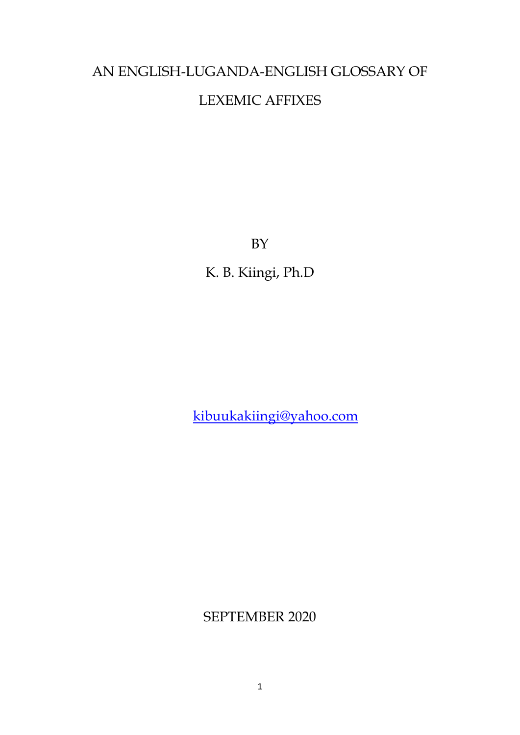# AN ENGLISH-LUGANDA-ENGLISH GLOSSARY OF LEXEMIC AFFIXES

BY

K. B. Kiingi, Ph.D

[kibuukakiingi@yahoo.com](mailto:kibuukakiingi@yahoo.com)

SEPTEMBER 2020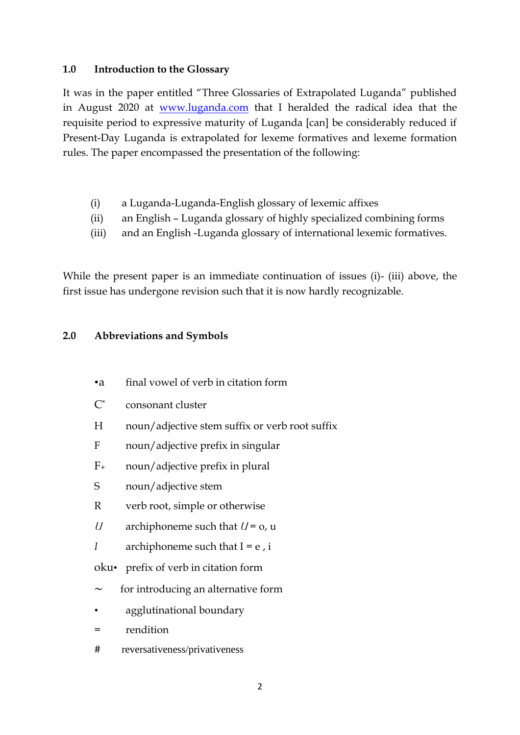#### **1.0 Introduction to the Glossary**

It was in the paper entitled "Three Glossaries of Extrapolated Luganda" published in August 2020 at [www.luganda.com](http://www.luganda.com/) that I heralded the radical idea that the requisite period to expressive maturity of Luganda [can] be considerably reduced if Present-Day Luganda is extrapolated for lexeme formatives and lexeme formation rules. The paper encompassed the presentation of the following:

- (i) a Luganda-Luganda-English glossary of lexemic affixes
- (ii) an English Luganda glossary of highly specialized combining forms
- (iii) and an English -Luganda glossary of international lexemic formatives.

While the present paper is an immediate continuation of issues (i)- (iii) above, the first issue has undergone revision such that it is now hardly recognizable.

#### **2.0 Abbreviations and Symbols**

- •a final vowel of verb in citation form
- C\* consonant cluster
- H noun/adjective stem suffix or verb root suffix
- F noun/adjective prefix in singular
- F<sup>+</sup> noun/adjective prefix in plural
- S noun/adjective stem
- R verb root, simple or otherwise
- *U* archiphoneme such that  $U = 0$ , u
- *I* archiphoneme such that  $I = e$ , *i*
- oku• prefix of verb in citation form
- for introducing an alternative form
- agglutinational boundary
- = rendition
- # reversativeness/privativeness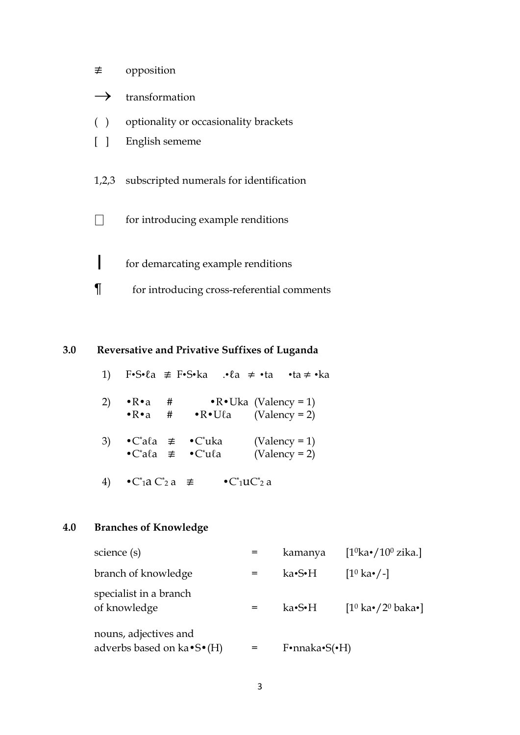- ≢ opposition
- $\rightarrow$  transformation
- ( ) optionality or occasionality brackets
- [ ] English sememe

1,2,3 subscripted numerals for identification

 $\Box$  for introducing example renditions

- **|** for demarcating example renditions
- ¶ for introducing cross-referential comments

### **3.0 Reversative and Privative Suffixes of Luganda**

|    |                                                      |   |                                                                                  | 1) F•S•la $\neq$ F•S•ka .•la $\neq$ •ta •ta $\neq$ •ka |
|----|------------------------------------------------------|---|----------------------------------------------------------------------------------|--------------------------------------------------------|
| 2) | $\bullet$ R $\bullet$ a<br>$\bullet$ R $\bullet$ a # | # | $\bullet$ R $\bullet$ Ula                                                        | $\cdot$ R $\cdot$ Uka (Valency = 1)<br>$(Valency = 2)$ |
| 3) |                                                      |   | $\bullet$ C*ala $\neq$ $\bullet$ C*uka<br>$\bullet$ C'ala $\neq$ $\bullet$ C'ula | $(Valency = 1)$<br>$(Valency = 2)$                     |

4)  $\bullet$ C\*<sub>1</sub>a C\*<sub>2</sub> a  $\neq$   $\bullet$ C\*<sub>1</sub>uC\*<sub>2</sub> a

#### **4.0 Branches of Knowledge**

| science (s)                                                      | kamanya                            | [ $1^0$ ka•/ $10^0$ zika.]                      |
|------------------------------------------------------------------|------------------------------------|-------------------------------------------------|
| branch of knowledge                                              | ka•S•H                             | $[1^0 \text{ka} \cdot / -]$                     |
| specialist in a branch<br>of knowledge                           | ka•S•H                             | $[1^0 \text{ka} \cdot / 2^0 \text{baka} \cdot]$ |
| nouns, adjectives and<br>adverbs based on $ka \cdot S \cdot (H)$ | $F \cdot$ nnaka $\cdot S(\cdot H)$ |                                                 |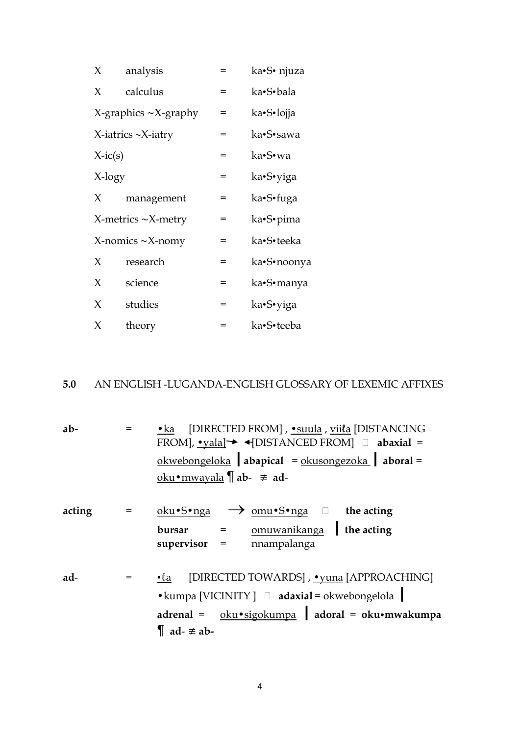| X         | analysis                      | = | ka•S• njuza |
|-----------|-------------------------------|---|-------------|
| X         | calculus                      | = | ka•S•bala   |
|           | $X$ -graphics $\sim$ X-graphy | = | ka•S•lojja  |
|           | $X$ -iatrics $\sim$ X-iatry   | = | ka•S•sawa   |
| $X-ic(s)$ |                               | = | ka•S•wa     |
| X-logy    |                               | = | ka•S•yiga   |
| X         | management                    | = | ka•S•fuga   |
|           | $X$ -metrics $\sim$ X-metry   | = | ka•S•pima   |
|           | $X$ -nomics $\sim$ X-nomy     | = | ka•S•teeka  |
| $\chi$    | research                      | = | ka•S•noonya |
| X         | science                       | = | ka•S•manya  |
| X         | studies                       | = | ka•S•yiga   |
| X         | theory                        | = | ka•S•teeba  |

### **5.0** AN ENGLISH -LUGANDA-ENGLISH GLOSSARY OF LEXEMIC AFFIXES

| $ab -$ | • ka [DIRECTED FROM], • suula, viila [DISTANCING<br>FROM], $\bullet$ vala] $\rightarrow$ $\bullet$ [DISTANCED FROM] $\Box$ abaxial =<br>$okwebongeloka$ abapical = $okusongezoka$ aboral =<br>oku•mwayala $\int$ ab- $\neq$ ad- |
|--------|---------------------------------------------------------------------------------------------------------------------------------------------------------------------------------------------------------------------------------|
| acting | $\underline{\text{oku}}$ $\bullet$ $\text{S} \bullet$ nga $\rightarrow$ $\underline{\text{om}} \bullet \text{S} \bullet$ nga $\square$ the acting<br>bursar = <u>omuwanikanga</u> the acting<br>$supervisor = manpalinga$       |
| ad-    | • <i>La</i> [DIRECTED TOWARDS], • vuna [APPROACHING]<br>$\bullet$ kumpa [VICINITY ] $\Box$ adaxial = okwebongelola  <br>adrenal = oku·sigokumpa   adoral = oku·mwakumpa<br>$\parallel$ ad- $\equiv$ ab-                         |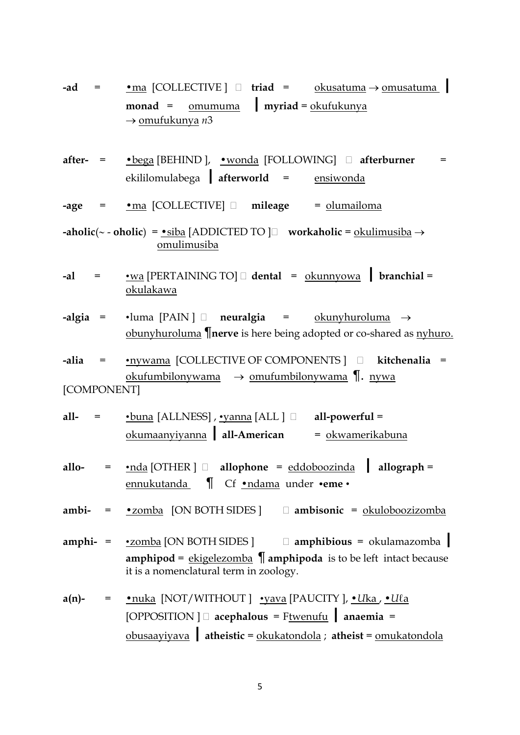- **-ad** <sup>=</sup> •ma [COLLECTIVE ] **triad** <sup>=</sup> okusatuma <sup>→</sup> omusatuma **| monad**<sup>=</sup> omumuma **| myriad** = okufukunya → omufukunya *n*3
- **after-** = •bega [BEHIND ], •wonda [FOLLOWING] **afterburner** = ekililomulabega **| afterworld** <sup>=</sup> ensiwonda

**-age** = •ma [COLLECTIVE] **mileage** = olumailoma

- **-aholic**( $\sim$   **oholic**) = •siba [ADDICTED TO  $\Box$  workaholic = okulimusiba → omulimusiba
- **-al** <sup>=</sup> •wa [PERTAINING TO] **dental** = okunnyowa **| branchial** <sup>=</sup> okulakawa
- **-algia** = •luma [PAIN ] **neuralgia** = okunyhuroluma → obunyhuroluma ¶**nerve** is here being adopted or co-shared as nyhuro.
- **-alia** = •nywama [COLLECTIVE OF COMPONENTS ] **kitchenalia** = okufumbilonywama  $\rightarrow$  omufumbilonywama  $\P$ . nywa [COMPONENT]
- **all-** = •buna [ALLNESS] , •yanna [ALL ] **all-powerful** = okumaanyiyanna **|all-American** = okwamerikabuna
- **allo-**<sup>=</sup> •nda [OTHER ] **allophone** = eddoboozinda **| allograph** <sup>=</sup> ennukutanda ¶ Cf •ndama under •**eme** •
- **ambi-** = •zomba [ON BOTH SIDES ] **ambisonic** = okuloboozizomba
- **amphi-**<sup>=</sup> •zomba [ON BOTH SIDES ] **amphibious** = okulamazomba **| amphipod** = ekigelezomba ¶ **amphipoda** is to be left intact because it is a nomenclatural term in zoology.
- **a(n)-** = •nuka [NOT/WITHOUT ] •yava [PAUCITY ], •*U*ka , •*U*ℓa [OPPOSITION ] **acephalous**<sup>=</sup> Ftwenufu **| anaemia**<sup>=</sup> obusaayiyava **|atheistic** = okukatondola ; **atheist** = omukatondola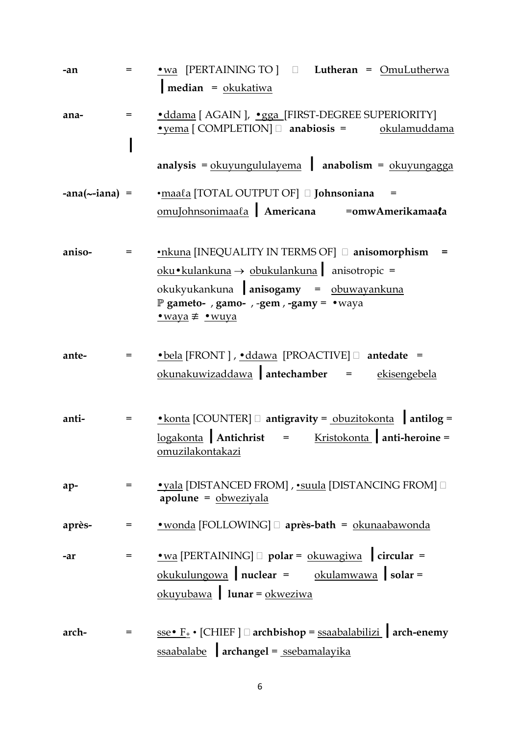| -an                      | $=$ | • wa [PERTAINING TO] $\Box$ Lutheran = OmuLutherwa<br>$median = okukatiwa$                                                                                                                                                |
|--------------------------|-----|---------------------------------------------------------------------------------------------------------------------------------------------------------------------------------------------------------------------------|
| ana-                     | $=$ | ·ddama [ AGAIN ], ·gga [FIRST-DEGREE SUPERIORITY]<br>$\bullet$ yema [COMPLETION] $\Box$ anabiosis = $\qquad$ okulamuddama                                                                                                 |
|                          |     | $analysis = okuyungululayema$ anabolism = $okuyungagga$                                                                                                                                                                   |
| $-ana$ ( $\sim$ -iana) = |     | •maala [TOTAL OUTPUT OF] I Johnsoniana<br>$=$<br>omuJohnsonimaala Americana = omwAmerikamaala                                                                                                                             |
| aniso-                   |     | •nkuna [INEQUALITY IN TERMS OF] anisomorphism<br>oku•kulankuna $\rightarrow$ obukulankuna anisotropic =<br>okukyukankuna anisogamy = obuwayankuna<br>P gameto-, gamo-, -gem, -gamy = $\cdot$ waya<br><u>•waya</u> ≢ •wuya |
| ante-                    | $=$ | • bela [FRONT ], • ddawa [PROACTIVE] <b>antedate</b> =<br>$okunakuwizaddawa$ antechamber = $ekisengebela$                                                                                                                 |
| anti-                    | $=$ | <u>• konta</u> [COUNTER] □ antigravity = obuzitokonta antilog =<br>$logakonta$ Antichrist = Kristokonta anti-heroine =<br>omuzilakontakazi                                                                                |
| ap-                      |     | <u>• yala</u> [DISTANCED FROM], • suula [DISTANCING FROM] □<br>$apolume = obweziyala$                                                                                                                                     |
| après-                   | $=$ | • wonda [FOLLOWING] après-bath = okunaabawonda                                                                                                                                                                            |
| -ar                      |     | $\underline{\bullet}\text{wa}$ [PERTAINING] $\Box$ polar = $\underline{\text{okuwagiwa}}$   circular =<br>$okukulungowa$ nuclear = $okulamwawa$ solar =<br>$okuyubawa$ lunar = $okweziwa$                                 |
| arch-                    | $=$ | <u>sse • F</u> <sup>+</sup> • [CHIEF ] □ archbishop = ssaabalabilizi   arch-enemy<br>$ssaabalabe$ archangel = $ssebamalayika$                                                                                             |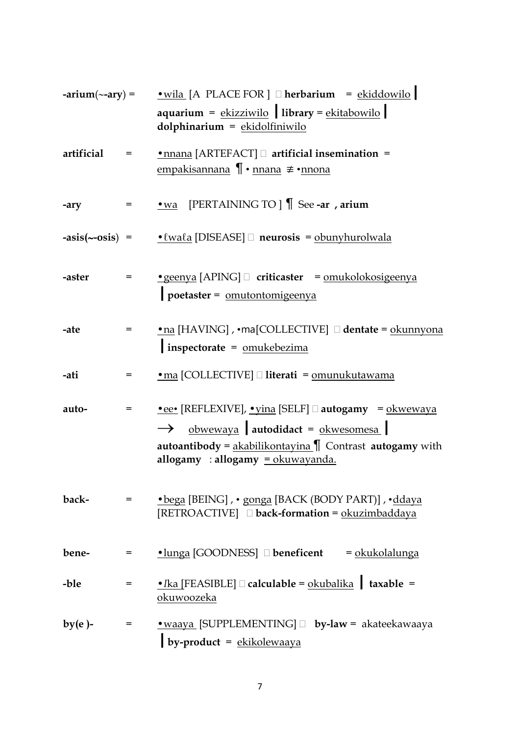|            |            | -arium( $\sim$ -ary) = • wila [A PLACE FOR ] $\Box$ herbarium = ekiddowilo  <br>$a$ quarium = $ekizzi$ wilo library = $ekit$ abowilo<br>$d$ olphinarium = $ekid$ olfiniwilo                                                                                                                |
|------------|------------|--------------------------------------------------------------------------------------------------------------------------------------------------------------------------------------------------------------------------------------------------------------------------------------------|
| artificial | $=$        | $\underline{\bullet}$ nnana [ARTEFACT] $\Box$ artificial insemination =<br><u>empakisannana</u> ¶ • nnana ≢ • nnona                                                                                                                                                                        |
| -ary       | $=$ $\sim$ | $\underline{\bullet}\underline{\text{wa}}$ [PERTAINING TO ] $\bigcap$ See -ar , arium                                                                                                                                                                                                      |
|            |            | $\text{-asis}(\sim\text{-osis})$ = $\text{-} \text{wala}$ [DISEASE] $\Box$ neurosis = obunyhurolwala                                                                                                                                                                                       |
| -aster     |            | $\textcolor{red}{\bullet}$ geenya [APING] $\Box$ criticaster = <u>omukolokosigeenya</u><br>poetaster = omutontomigeenya                                                                                                                                                                    |
| -ate       | $=$        | • na [HAVING], • ma [COLLECTIVE] <b>dentate</b> = okunnyona<br>$inspectorate = omukebezima$                                                                                                                                                                                                |
| -ati       | $=$        | • ma [COLLECTIVE] [ literati = omunukutawama                                                                                                                                                                                                                                               |
| auto-      | $=$        | $\textcolor{red}{\bullet}$ ee• [REFLEXIVE], $\textcolor{red}{\bullet}$ yina [SELF] $\Box$ autogamy = okwewaya<br>$\rightarrow$ obwewaya autodidact = okwesomesa<br><b>autoantibody</b> = $\underline{akabilikontayina}$ Contrast <b>autogamy</b> with<br>allogamy : allogamy = okuwayanda. |
| back-      | $=$ $\sim$ | • bega [BEING], • gonga [BACK (BODY PART)], • ddaya<br>[RETROACTIVE] $\Box$ back-formation = $\Omega$ okuzimbaddaya                                                                                                                                                                        |
| bene-      | $=$        | $\bullet$ lunga [GOODNESS] $\Box$ beneficent<br>= okukolalunga                                                                                                                                                                                                                             |
| -ble       | $=$        | • Ika [FEASIBLE] $\Box$ calculable = okubalika   taxable =<br>okuwoozeka                                                                                                                                                                                                                   |
| $by(e)$ -  | $=$        | • waaya [SUPPLEMENTING] D by-law = akateekawaaya<br>by-product = $ekikolewaaya$                                                                                                                                                                                                            |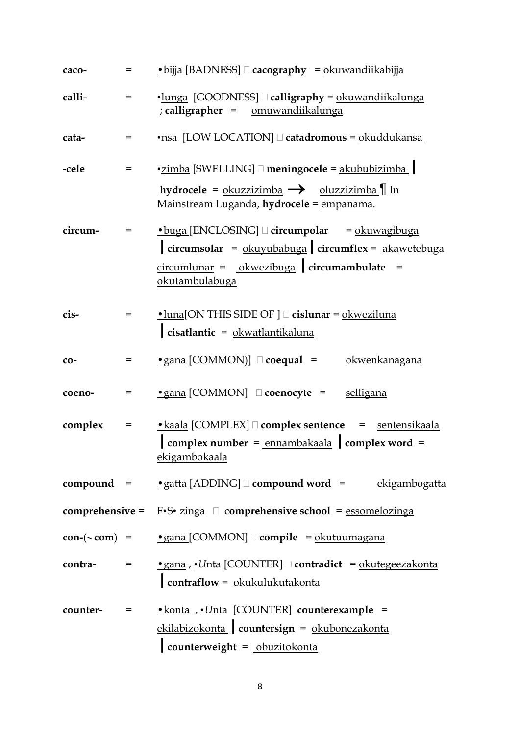| caco-      | $=$        | • bijja [BADNESS] = cacography = okuwandiikabijja                                                                                                                                                                                                                                                                                                                                                                         |
|------------|------------|---------------------------------------------------------------------------------------------------------------------------------------------------------------------------------------------------------------------------------------------------------------------------------------------------------------------------------------------------------------------------------------------------------------------------|
| calli-     | $=$        | •lunga [GOODNESS] □ calligraphy = okuwandiikalunga<br>; calligrapher = omuwandiikalunga                                                                                                                                                                                                                                                                                                                                   |
| cata-      |            | •nsa [LOW LOCATION] acatadromous = okuddukansa                                                                                                                                                                                                                                                                                                                                                                            |
| -cele      |            | •zimba [SWELLING] □ meningocele = akububizimba                                                                                                                                                                                                                                                                                                                                                                            |
|            |            | hydrocele = $\frac{\text{okuzzizimba}}{\text{okuzizimba}}$ $\rightarrow$ $\frac{\text{oluzzizimba}}{\text{ln}}$ In<br>Mainstream Luganda, hydrocele = empanama.                                                                                                                                                                                                                                                           |
| circum-    | $=$        | $\bullet$ buga [ENCLOSING] $\Box$ circumpolar = $\Omega$ = $\Omega$ = $\Omega$ = $\Omega$ = $\Omega$ = $\Omega$ = $\Omega$ = $\Omega$ = $\Omega$ = $\Omega$ = $\Omega$ = $\Omega$ = $\Omega$ = $\Omega$ = $\Omega$ = $\Omega$ = $\Omega$ = $\Omega$ = $\Omega$ = $\Omega$ = $\Omega$ = $\Omega$ = $\Omega$ = $\Omega$ = $\Omega$ = $\Omega$ =<br>$\int$ circumsolar = $\delta$ kuyubabuga $\int$ circumflex = akawetebuga |
|            |            | $circumlunar = okwezibuga$ circumambulate<br>okutambulabuga                                                                                                                                                                                                                                                                                                                                                               |
| cis-       | $=$        | $\cdot$ luna[ON THIS SIDE OF ] $\Box$ cislunar = $\Omega$ external order of $\Omega$<br>cisatlantic = $0$ kwatlantikaluna                                                                                                                                                                                                                                                                                                 |
| $CO-$      | =          | • gana [COMMON)] $\Box$ coequal =<br>okwenkanagana                                                                                                                                                                                                                                                                                                                                                                        |
| coeno-     | =          | • gana [COMMON] <b>D</b> coenocyte = selligana                                                                                                                                                                                                                                                                                                                                                                            |
| complex    | =          | • kaala [COMPLEX] <b>complex sentence</b> = sentensikaala<br>$\cos \theta$ complex number = $\frac{\text{ennambakaala}}{\text{can plus a}}$ complex word =<br>ekigambokaala                                                                                                                                                                                                                                               |
|            |            | <b>compound</b> = $\underset{\sim}{\bullet}$ gatta [ADDING] $\Box$ <b>compound word</b> = ekigambogatta                                                                                                                                                                                                                                                                                                                   |
|            |            | <b>comprehensive =</b> F•S• zinga $\Box$ comprehensive school = essomelozinga                                                                                                                                                                                                                                                                                                                                             |
|            |            | $con-(\sim com)$ = $\bullet$ gana [COMMON] $\Box$ compile = okutuumagana                                                                                                                                                                                                                                                                                                                                                  |
| contra-    | $=$ $\sim$ | • gana, • Unta [COUNTER] □ contradict = okutegeezakonta<br>contraflow = okukulukutakonta                                                                                                                                                                                                                                                                                                                                  |
| counter- = |            | • konta , • Unta [COUNTER] counterexample =<br>ekilabizokonta   countersign = okubonezakonta<br>counterweight = obuzitokonta                                                                                                                                                                                                                                                                                              |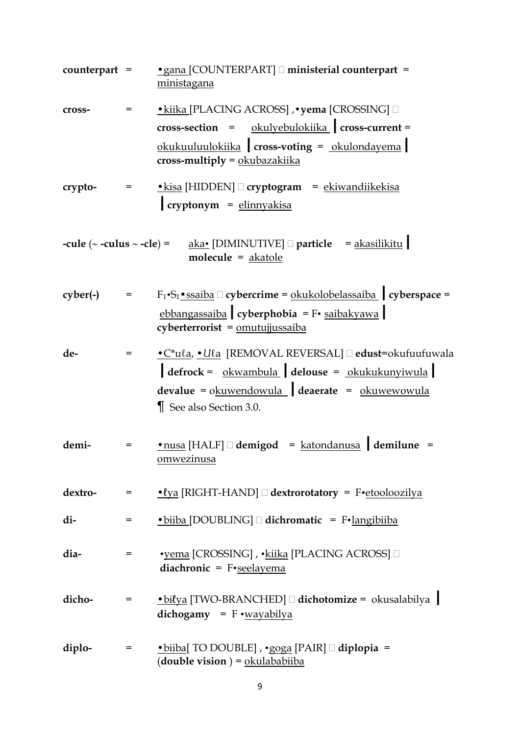| $counterpart =$ |                                                                                            | • gana [COUNTERPART] ministerial counterpart =<br>ministagana                                                                                                                                                                                                                                                    |
|-----------------|--------------------------------------------------------------------------------------------|------------------------------------------------------------------------------------------------------------------------------------------------------------------------------------------------------------------------------------------------------------------------------------------------------------------|
| cross-          | $=$                                                                                        | • kiika [PLACING ACROSS] , • yema [CROSSING] $\square$<br>$\csc$ -section = $\alpha$ okulyebulokiika $\arccos$ -current =<br>okukuuluulokiika cross-voting = okulondayema<br>cross-multiply = okubazakiika                                                                                                       |
| crypto-         | $\mathcal{L}_{\mathcal{A}}(x) = \mathcal{L}_{\mathcal{A}}(x) \mathcal{L}_{\mathcal{A}}(x)$ | $\bullet$ kisa [HIDDEN] $\Box$ cryptogram = ekiwandiikekisa<br>cryptonym = elinnyakisa                                                                                                                                                                                                                           |
|                 |                                                                                            | -cule $(\sim$ -culus $\sim$ -cle) = $\qquad$ aka• [DIMINUTIVE] $\Box$ particle = akasilikitu<br>molecule = akatole                                                                                                                                                                                               |
| cyber(-)        | $=$                                                                                        | $F_1 \cdot S_1 \cdot$ ssaiba $\Box$ cybercrime = okukolobelassaiba   cyberspace =<br>ebbangassaiba cyberphobia = F• saibakyawa<br>cyberterrorist = omutujjussaiba                                                                                                                                                |
| de-             | $=$                                                                                        | • C*ula, • Ula [REMOVAL REVERSAL] □ edust=okufuufuwala<br>$\begin{array}{ l l l }\n\end{array} \text{defrock = } \frac{\text{okwambula}}{\text{okubula}} \begin{array}{ l l } \text{delouse = } \text{okukukunyiwula} \end{array}$<br>$devalue = okuwendowula$ deaerate = $okuwewowula$<br>See also Section 3.0. |
| demi-           | =                                                                                          | $\bullet$ nusa [HALF] $\Box$ demigod = katondanusa demilune =<br><u>omwezinusa</u>                                                                                                                                                                                                                               |
| dextro-         |                                                                                            | = • <u>• <i>t</i>ya</u> [RIGHT-HAND] □ dextrorotatory = F• etooloozilya                                                                                                                                                                                                                                          |
| di-             | $=$                                                                                        | $\bullet$ biiba [DOUBLING] $\Box$ dichromatic = F $\bullet$ langibiiba                                                                                                                                                                                                                                           |
| dia-            | =                                                                                          | •yema [CROSSING], •kiika [PLACING ACROSS] □<br>diachronic = $F$ •seelayema                                                                                                                                                                                                                                       |
| dicho-          | $=$ $\sim$                                                                                 | $\bullet$ biłya [TWO-BRANCHED] $\Box$ dichotomize = okusalabilya<br>dichogamy = $F \cdot wayabilya$                                                                                                                                                                                                              |
| diplo-          | $=$ $\sim$                                                                                 | $\bullet$ biiba[ TO DOUBLE], $\bullet$ goga [PAIR] $\Box$ diplopia =<br>(double vision) = $\alpha$ okulababiiba                                                                                                                                                                                                  |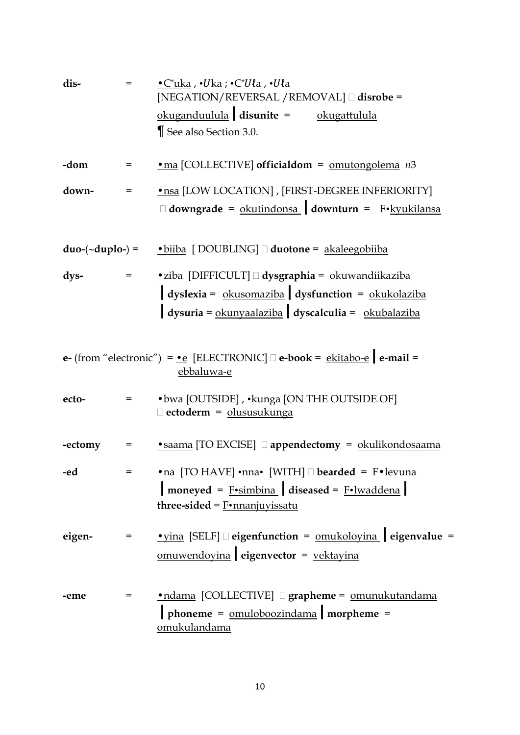| dis-    | $=$                     | $\bullet$ C*uka, $\bullet$ Uka; $\bullet$ C*Uła, $\bullet$ Uła<br>[NEGATION/REVERSAL /REMOVAL] [ disrobe =                    |
|---------|-------------------------|-------------------------------------------------------------------------------------------------------------------------------|
|         |                         | $okuganduulula$ disunite = $okugattulula$                                                                                     |
|         |                         | See also Section 3.0.                                                                                                         |
| -dom    | $=$                     | • ma [COLLECTIVE] officialdom = $omutongolema$ $n3$                                                                           |
| down-   | $=$                     | · nsa [LOW LOCATION], [FIRST-DEGREE INFERIORITY]                                                                              |
|         |                         | $\Box$ downgrade = okutindonsa downturn = F•kyukilansa                                                                        |
|         |                         | $duo-(\sim duplo-) = \bullet biiba$ [DOUBLING] $\Box$ duotone = akaleegobiiba                                                 |
| dys-    | $\equiv$ 100 $^{\circ}$ | •ziba [DIFFICULT] dysgraphia = okuwandiikaziba                                                                                |
|         |                         | $\int$ dyslexia = $\frac{\text{okusomaziba}}{\text{absimaziba}}$ dysfunction = $\frac{\text{okukolaziba}}{\text{absimaxiba}}$ |
|         |                         | $\log$ uysuria = $\frac{\text{okunyaalaziba}}{\text{dyscalculia}}$ = $\frac{\text{okubalaziba}}{\text{dysvalculia}}$          |
|         |                         | e- (from "electronic") = $\cdot$ e [ELECTRONIC] $\Box$ e-book = ekitabo-e e-mail =<br>ebbaluwa-e                              |
| ecto-   | $=$                     | • bwa [OUTSIDE], • kunga [ON THE OUTSIDE OF]<br>Dectoderm = olususukunga                                                      |
| -ectomy | $=$                     | • saama [TO EXCISE] appendectomy = okulikondosaama                                                                            |
| -ed     |                         | <u>•na</u> [TO HAVE] •nna• [WITH] □ bearded = F•levuna                                                                        |
|         |                         | $\boxed{\text{moneyed} = \text{F-simbina}}$ diseased = $\text{F-}$ lwaddena                                                   |
|         |                         | three-sided = $F \cdot$ nnanjuyissatu                                                                                         |
| eigen-  | =                       | <u>• yina</u> [SELF] □ eigenfunction = <u>omukoloyina</u> eigenvalue =                                                        |
|         |                         | omuwendoyina eigenvector = vektayina                                                                                          |
| -eme    | =                       | •ndama [COLLECTIVE] <b>grapheme</b> = omunukutandama                                                                          |
|         |                         | $\boxed{\text{phone}} = \boxed{\text{omuloboozindama}}$ morpheme =<br>omukulandama                                            |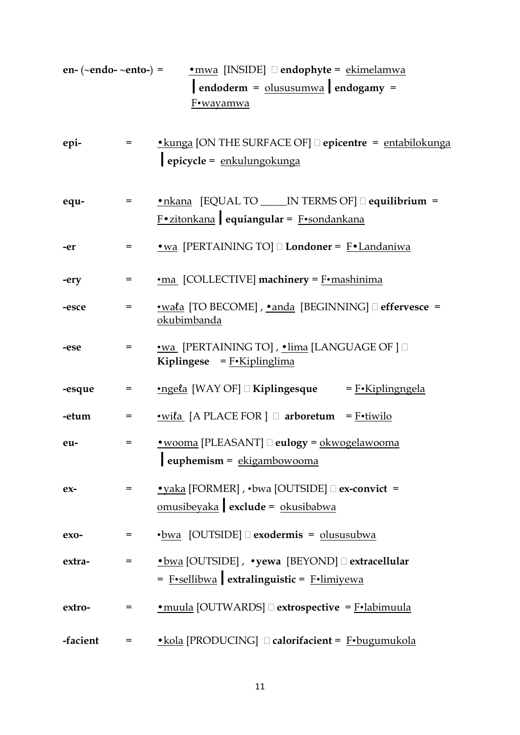| en- $(\sim$ endo- $\sim$ ento- $)$ = |              | • mwa [INSIDE] <b>Dendophyte</b> = ekimelamwa<br>$endoderm = olususumwa endogamy =$<br>F•wayamwa                |
|--------------------------------------|--------------|-----------------------------------------------------------------------------------------------------------------|
| epi-                                 | $=$ $\qquad$ | $\bullet$ kunga [ON THE SURFACE OF] $\Box$ epicentre = entabilokunga<br>epicycle = enkulungokunga               |
| equ-                                 | =            | • nkana [EQUAL TO _____ IN TERMS OF] $\Box$ equilibrium =<br>Fozitonkana equiangular = Fosondankana             |
| -er                                  | $=$          | • wa [PERTAINING TO] Londoner = F• Landaniwa                                                                    |
| -ery                                 | $=$          | •ma [COLLECTIVE] machinery = F•mashinima                                                                        |
| -esce                                | =            | • wala [TO BECOME], • anda [BEGINNING] $\Box$ effervesce =<br>okubimbanda                                       |
| -ese                                 | $=$          | •wa [PERTAINING TO], •lima [LANGUAGE OF ] □<br>Kiplingese = $F \cdot$ Kiplinglima                               |
| -esque                               | $=$          | $\cdot$ ngela [WAY OF] $\Box$ Kiplingesque = F $\cdot$ Kiplingngela                                             |
| -etum                                | $=$          | $\cdot$ wiła [A PLACE FOR] $\Box$ arboretum = F $\cdot$ tiwilo                                                  |
| eu-                                  | =            | • wooma [PLEASANT] Deulogy = okwogelawooma<br>$\boxed{\textit{euphemism} = \underline{\textit{ekigambowooma}}}$ |
| $ex-$                                | $=$          | • yaka [FORMER], • bwa [OUTSIDE] □ ex-convict =<br>omusibeyaka exclude = okusibabwa                             |
| $exo-$                               | =            | $\cdot$ bwa [OUTSIDE] $\Box$ exodermis = olususubwa                                                             |
| extra-                               | $=$          | •bwa [OUTSIDE], •yewa [BEYOND] axtracellular<br>$=$ F•sellibwa extralinguistic = $F$ •limiyewa                  |
| extro-                               | $=$          | $\underline{\bullet}$ muula [OUTWARDS] $\Box$ extrospective = F $\underline{\bullet}$ labimuula                 |
| -facient                             | $=$          | • kola [PRODUCING] $\Box$ calorifacient = F• bugumukola                                                         |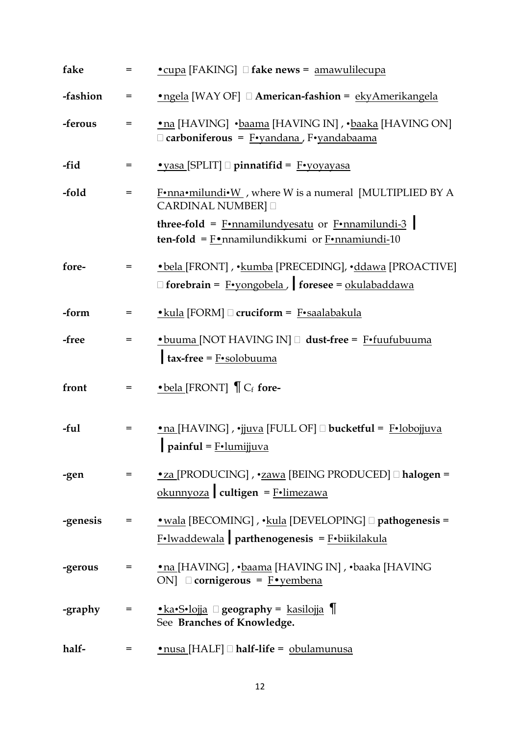| fake     | $=$        | • cupa [FAKING] I fake news = amawulilecupa                                                                                                                                             |
|----------|------------|-----------------------------------------------------------------------------------------------------------------------------------------------------------------------------------------|
| -fashion | $=$        | •ngela [WAY OF] D American-fashion = ekyAmerikangela                                                                                                                                    |
| -ferous  | =          | •na [HAVING] •baama [HAVING IN], •baaka [HAVING ON]<br>□ carboniferous = F•yandana, F•yandabaama                                                                                        |
| -fid     | $=$        | $\cdot$ yasa [SPLIT] $\Box$ pinnatifid = $\frac{F \cdot y \cdot \text{V}}{T}$                                                                                                           |
| -fold    | $=$        | F•nna•milundi•W, where W is a numeral [MULTIPLIED BY A<br><b>CARDINAL NUMBER]</b>                                                                                                       |
|          |            | <b>three-fold</b> = $\frac{F \cdot \text{nnamilund} \text{yesatu}}{F \cdot \text{nnamilundi-3}}$<br><b>ten-fold</b> = $\underline{F}$ •nnamilundikkumi or $\underline{F}$ •nnamiundi-10 |
| fore-    | $=$        | • bela [FRONT], • kumba [PRECEDING], • ddawa [PROACTIVE]<br>$\Box$ forebrain = F•yongobela, foresee = okulabaddawa                                                                      |
| -form    | =          | $\bullet$ kula [FORM] $\Box$ cruciform = F $\bullet$ saalabakula                                                                                                                        |
| -free    | $=$        | • buuma [NOT HAVING IN] aust-free = F•fuufubuuma<br>$\mathbf{tax}\text{-free} = \text{F-solobuuma}$                                                                                     |
| front    | $=$ $\sim$ | $\bullet$ bela [FRONT] $\bigcap C_f$ fore-                                                                                                                                              |
| -ful     | $=$        | •na [HAVING], •jjuva [FULL OF] Ducketful = F•lobojjuva<br>painful = $F$ ·lumijjuva                                                                                                      |
| -gen     | $=$        | •za [PRODUCING] , •zawa [BEING PRODUCED] [ halogen =<br>okunnyoza   cultigen = $F$ ·limezawa                                                                                            |
| -genesis |            | $F$ ·lwaddewala parthenogenesis = $F$ ·biikilakula                                                                                                                                      |
| -gerous  | =          | •na [HAVING] , •baama [HAVING IN] , •baaka [HAVING<br>ON] $\Box$ cornigerous = $F \cdot \text{yembena}$                                                                                 |
| -graphy  | $=$        | <u>•ka•S•lojja</u> □ geography = kasilojja ¶<br>See Branches of Knowledge.                                                                                                              |
| half-    | =          | <u>• nusa</u> [HALF] □ half-life = obulamunusa                                                                                                                                          |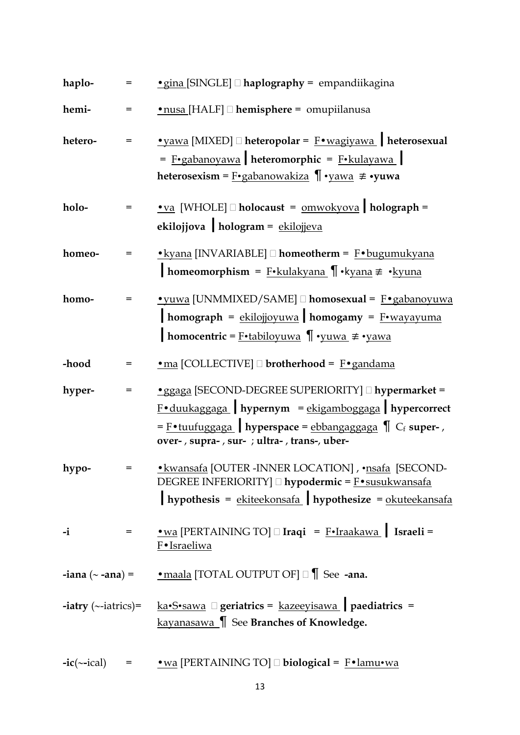| haplo-                            |     | • gina [SINGLE] I haplography = empandiikagina                                                                                                                                                                                                   |
|-----------------------------------|-----|--------------------------------------------------------------------------------------------------------------------------------------------------------------------------------------------------------------------------------------------------|
| hemi-                             |     | •nusa [HALF] D hemisphere = omupiilanusa                                                                                                                                                                                                         |
| hetero-                           |     | $\underline{\bullet}$ yawa [MIXED] $\Box$ heteropolar = $\underline{\mathrm{F}} \bullet$ wagiyawa   heterosexual<br>$=$ F•gabanoyawa heteromorphic = F•kulayawa<br>heterosexism = $F \cdot$ gabanowakiza $\P \cdot$ yawa $\not\equiv \cdot$ yuwa |
| holo-                             |     | • va [WHOLE] $\Box$ holocaust = $\Omega$ holograph =<br>ekilojjova hologram = ekilojjeva                                                                                                                                                         |
| homeo-                            |     | • kyana [INVARIABLE] □ homeotherm = F• bugumukyana<br>homeomorphism = F•kulakyana ¶ • kyana ≢ • kyuna                                                                                                                                            |
| homo-                             | $=$ | • yuwa [UNMMIXED/SAME] <sup>[</sup> homosexual = F• gabanoyuwa<br>homograph = ekilojjoyuwa homogamy = F•wayayuma<br><b>homocentric</b> = $\underline{F \cdot tabiloyuwa}$ $\P \cdot yuwa \neq yawa$                                              |
| -hood                             | =   | • ma [COLLECTIVE] D brotherhood = F• gandama                                                                                                                                                                                                     |
| hyper-                            |     | • ggaga [SECOND-DEGREE SUPERIORITY] I hypermarket =<br>$F \cdot$ duukaggaga   hypernym = ekigamboggaga   hypercorrect<br>$=$ F•tuufuggaga   hyperspace = ebbangaggaga $\int$ Cf super-,<br>over-, supra-, sur- ; ultra-, trans-, uber-           |
| hypo-                             |     | · kwansafa [OUTER - INNER LOCATION], · nsafa [SECOND-<br>DEGREE INFERIORITY] □ hypodermic = F•susukwansafa<br>hypothesis = $ekiteekonsafa$ hypothesize = $okuteekansafa$                                                                         |
| $-i$                              | $=$ | • wa [PERTAINING TO] $\Box$ Iraqi = F•Iraakawa   Israeli =<br>F•Israeliwa                                                                                                                                                                        |
|                                   |     | <b>-iana</b> ( $\sim$ <b>-ana</b> ) = $\qquad \qquad$ <u>• maala</u> [TOTAL OUTPUT OF] $\Box$ See <b>-ana.</b>                                                                                                                                   |
| <b>-iatry</b> ( $\sim$ -iatrics)= |     | $k$ a·S·sawa $\Box$ geriatrics = $k$ azeeyisawa   paediatrics =<br>kayanasawa   See Branches of Knowledge.                                                                                                                                       |
| $-ic(\sim -ical)$                 | $=$ | $\underline{\bullet}\text{wa}$ [PERTAINING TO] $\square$ biological = $\underline{\text{F}} \bullet \underline{\text{lamu} \bullet \text{wa}}$                                                                                                   |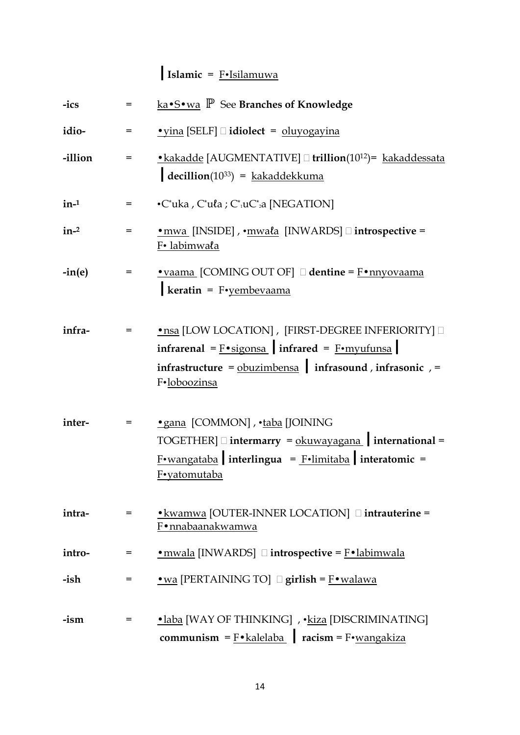# **|Islamic** = F•Isilamuwa

| -ics     |     | ka•S <u>•wa</u> P See Branches of Knowledge                                                                                                                                                            |
|----------|-----|--------------------------------------------------------------------------------------------------------------------------------------------------------------------------------------------------------|
| idio-    | $=$ | $\bullet$ yina [SELF] $\Box$ idiolect = oluyogayina                                                                                                                                                    |
| -illion  | =   | • kakadde [AUGMENTATIVE] <sup>[11]</sup> trillion(10 <sup>12</sup> ) = kakaddessata<br>$\det(10^{33}) = kakaddekkuma$                                                                                  |
| $in-1$   | =   | $\cdot$ C*uka, C*uła; C* <sub>1</sub> uC* <sub>2</sub> a [NEGATION]                                                                                                                                    |
| $in-2$   | =   | <u>• mwa</u> [INSIDE], • mwala [INWARDS] □ introspective =<br>F• labimwala                                                                                                                             |
| $-in(e)$ | =   | $\bullet$ vaama [COMING OUT OF] $\Box$ dentine = $F \bullet$ nnyovaama<br>keratin = $F$ •yembevaama                                                                                                    |
| infra-   | =   | • nsa [LOW LOCATION], [FIRST-DEGREE INFERIORITY] $\square$<br>infrarenal = $F \cdot sigonsa$ infrared = $F \cdot myufunsa$<br>infrastructure = $obuzimbensa$ infrasound, infrasonic, =<br>F.loboozinsa |
| inter-   | =   | • gana [COMMON], • taba [JOINING<br>$TOGETHER]$ intermarry = $\underline{okuwayagana}$ international =<br>$F$ •wangataba interlingua = $F$ •limitaba interatomic =<br><u>F•yatomutaba</u>              |
| intra-   | =   | • kwamwa [OUTER-INNER LOCATION] <b>dintrauterine</b> =<br>F•nnabaanakwamwa                                                                                                                             |
| intro-   | =   | $\underline{\bullet}$ mwala [INWARDS] $\square$ introspective = $\underline{\mathrm{F}} \bullet$ labimwala                                                                                             |
| -ish     | $=$ | $\underline{\bullet}\underline{\text{wa}}$ [PERTAINING TO] $\square$ girlish = F $\underline{\bullet}\underline{\text{walawa}}$                                                                        |
| -ism     | =   | •laba [WAY OF THINKING], • kiza [DISCRIMINATING]<br>communism = $F \cdot$ kalelaba   racism = $F \cdot$ wangakiza                                                                                      |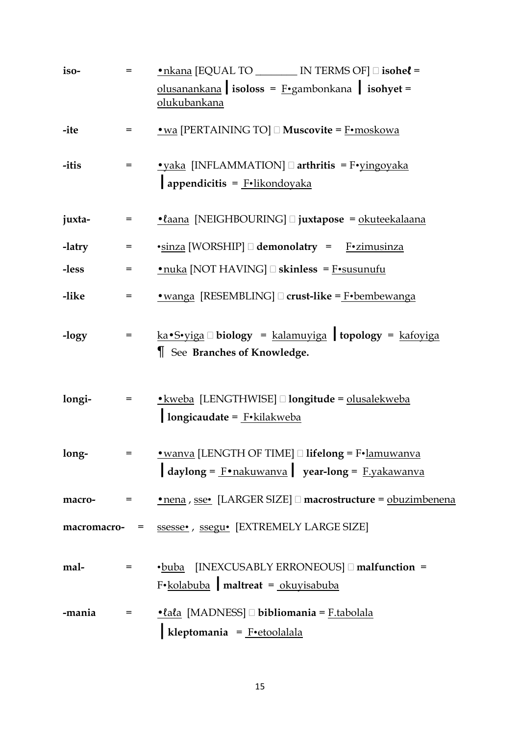| iso-        | =          | • nkana [EQUAL TO ________ IN TERMS OF] □ isohel =                                                        |
|-------------|------------|-----------------------------------------------------------------------------------------------------------|
|             |            | olusanankana isoloss = $F \cdot$ gambonkana isohyet =<br>olukubankana                                     |
| -ite        | $=$        | • wa [PERTAINING TO] $\Box$ Muscovite = $\text{F}$ • moskowa                                              |
| -itis       | $=$        | $\bullet$ yaka [INFLAMMATION] $\Box$ arthritis = F $\bullet$ yingoyaka<br>appendicitis = $F$ ·likondoyaka |
| juxta-      | =          | <u>• laana</u> [NEIGHBOURING] □ juxtapose = okuteekalaana                                                 |
| -latry      | =          | •sinza [WORSHIP] demonolatry = F•zimusinza                                                                |
| -less       | =          | $\cdot$ nuka [NOT HAVING] $\Box$ skinless = F $\cdot$ susunufu                                            |
| -like       | =          | <u>• wanga</u> [RESEMBLING] □ crust-like = F•bembewanga                                                   |
| -logy       | $=$        | $ka \cdot S \cdot yiga \Box$ biology = kalamuyiga topology = kafoyiga<br>See Branches of Knowledge.       |
| longi-      | $=$ $\sim$ | · kweba [LENGTHWISE] □ longitude = olusalekweba<br>longicaudate = F. kilakweba                            |
| long-       |            | $\alpha$ daylong = $\frac{F \cdot nakuwanva}{\alpha}$ year-long = $\frac{F.yakawanva}{\alpha}$            |
| macro-      |            | = <u>• nena</u> , sse• [LARGER SIZE] □ macrostructure = obuzimbenena                                      |
| macromacro- |            | = ssesse•, ssegu• [EXTREMELY LARGE SIZE]                                                                  |
| mal-        |            | •buba [INEXCUSABLY ERRONEOUS] malfunction =<br>F•kolabuba maltreat = okuyisabuba                          |
| -mania      |            | = <u>•lala</u> [MADNESS] □ bibliomania = F.tabolala<br>kleptomania = $F$ ·etoolalala                      |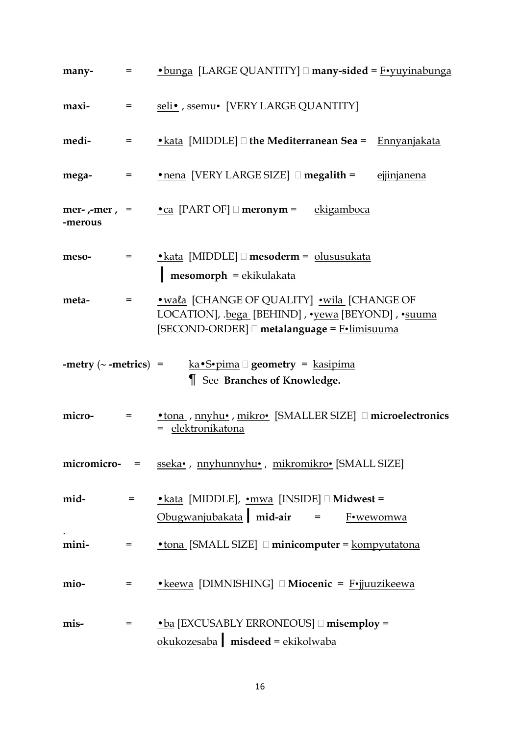| many-                      |              | $\blacksquare$ • bunga [LARGE QUANTITY] $\Box$ many-sided = F• yuyinabunga                                                                       |
|----------------------------|--------------|--------------------------------------------------------------------------------------------------------------------------------------------------|
| maxi-                      | $=$ $\sim$   | seli•, ssemu• [VERY LARGE QUANTITY]                                                                                                              |
| medi-                      | $=$ $\qquad$ | • kata [MIDDLE] $\Box$ the Mediterranean Sea = $\Box$ Ennyanjakata                                                                               |
| mega-                      |              | ejjinjanena                                                                                                                                      |
| -merous                    |              | <b>mer-</b> ,-mer, = $\cdot$ $\cdot$ $\cdot$ [PART OF] $\Box$ <b>meronym</b> = $\frac{ekigamboca}{}$                                             |
| meso-                      | $=$ $\sim$   | $\triangle$ kata [MIDDLE] $\Box$ mesoderm = olususukata<br>$mesomorph = ekikulakata$                                                             |
| meta-                      | $=$ $\qquad$ | • wala [CHANGE OF QUALITY] • wila [CHANGE OF<br>LOCATION], .bega [BEHIND], .yewa [BEYOND], .suuma<br>[SECOND-ORDER] □ metalanguage = F•limisuuma |
|                            |              |                                                                                                                                                  |
| -metry $(\sim$ -metrics) = |              | <u>ka•S•pima</u> $\Box$ geometry = <u>kasipima</u><br>See Branches of Knowledge.                                                                 |
| micro-                     | $=$ $\sim$   | • tona, myhu•, mikro• [SMALLER SIZE] $\Box$ microelectronics<br>= elektronikatona                                                                |
|                            |              | micromicro- = sseka•, nnyhunnyhu•, mikromikro• [SMALL SIZE]                                                                                      |
| mid-                       | $=$ $\sim$   | • kata [MIDDLE], • mwa [INSIDE] $\Box$ Midwest =<br>$Obugwanjubakata$ mid-air = $F*wwwomwa$                                                      |
| mini-                      | $=$          | $\bullet$ tona [SMALL SIZE] $\Box$ minicomputer = kompyutatona                                                                                   |
| mio-                       | $=$          | • keewa [DIMNISHING] Miocenic = F•jjuuzikeewa                                                                                                    |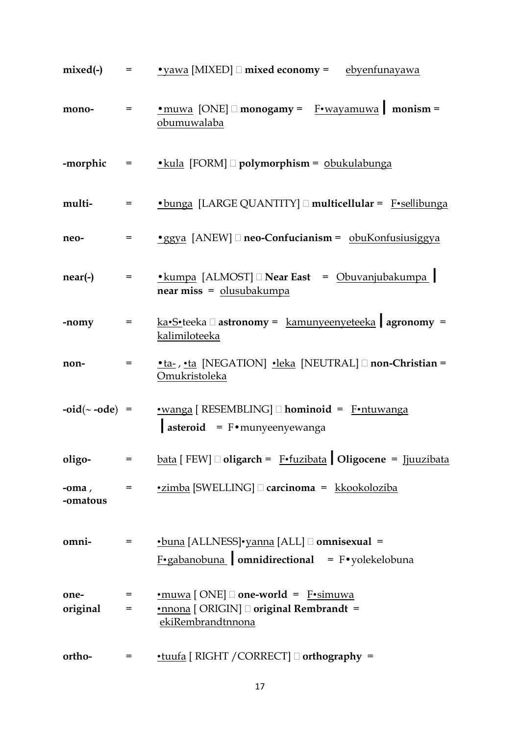| mixed(-)             |            | $=$ • yawa [MIXED] $\Box$ mixed economy = ebyenfunayawa                                                                                                   |
|----------------------|------------|-----------------------------------------------------------------------------------------------------------------------------------------------------------|
| mono-                | $=$        | <u>• muwa</u> [ONE] □ monogamy = F•wayamuwa   monism =<br>obumuwalaba                                                                                     |
| -morphic             |            | = • <u>• kula</u> [FORM] <b>□ polymorphism</b> = <u>obukulabunga</u>                                                                                      |
| multi-               | =          | • bunga [LARGE QUANTITY] nulticellular = F•sellibunga                                                                                                     |
| neo-                 | $=$        | $\bullet$ ggya [ANEW] $\Box$ neo-Confucianism = obuKonfusiusiggya                                                                                         |
| $near(-)$            | $=$        | $\bullet$ kumpa [ALMOST] $\Box$ Near East = Obuvanjubakumpa  <br>near miss = olusubakumpa                                                                 |
| -nomy                | $=$        | $k$ a•S•teeka $\Box$ astronomy = kamunyeenyeteeka agronomy =<br>kalimiloteeka                                                                             |
| non-                 | =          | <u>•ta-, •ta</u> [NEGATION] •leka [NEUTRAL] non-Christian =<br>Omukristoleka                                                                              |
|                      |            | $-oid(\sim -ode)$ = $\sim \sim \sim \sim \sim 1$ [RESEMBLING] $\Box$ hominoid = Fortuwanga<br>$\int$ asteroid = F•munyeenyewanga                          |
| oligo-               | $=$        | $\underline{\text{bata}}$ [ FEW] $\Box$ oligarch = F•fuzibata   Oligocene = Ijuuzibata                                                                    |
| $-oma$ ,<br>-omatous | =          | <u>•zimba</u> [SWELLING] □ carcinoma = kkookoloziba                                                                                                       |
| omni-                | =          | <u>•buna</u> [ALLNESS]•yanna [ALL] □ omnisexual =<br>$F \cdot$ gabanobuna omnidirectional = F $\cdot$ yolekelobuna                                        |
| one-<br>original     | $=$<br>$=$ | $\underline{\bullet}$ muwa [ONE] $\Box$ one-world = F $\underline{\bullet}$ simuwa<br><u>•nnona</u> [ ORIGIN] □ original Rembrandt =<br>ekiRembrandtnnona |
| ortho-               | =          | $\cdot$ tuufa [ RIGHT / CORRECT] $\Box$ orthography =                                                                                                     |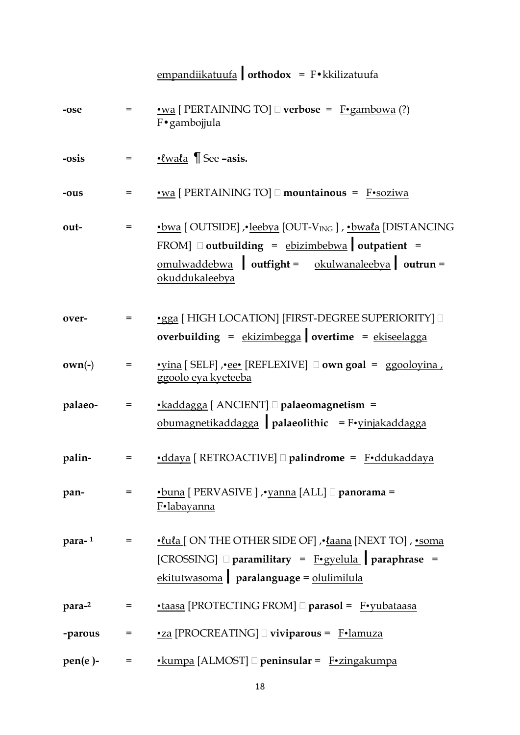|            |              | empandiikatuufa   orthodox = $F \cdot k$ kilizatuufa                                                                                                                                                    |
|------------|--------------|---------------------------------------------------------------------------------------------------------------------------------------------------------------------------------------------------------|
| -ose       | $=$          | • wa [ PERTAINING TO] $\Box$ verbose = F•gambowa (?)<br>F•gambojjula                                                                                                                                    |
| -osis      | $=$          | $\cdot$ <i>lwala</i> $\parallel$ See -asis.                                                                                                                                                             |
| -ous       | =            | •wa [ PERTAINING TO] mountainous = F•soziwa                                                                                                                                                             |
| out-       | =            | ·bwa [OUTSIDE] , · leebya [OUT-V <sub>ING</sub> ] , · bwala [DISTANCING<br>FROM] $\Box$ outbuilding = ebizimbebwa outpatient =<br>$omulwaddebwa$ outfight = $okulwanaleebya$ outrun =<br>okuddukaleebya |
| over-      | =            | •gga [ HIGH LOCATION] [FIRST-DEGREE SUPERIORITY] $\square$<br>overbuilding = $ekizimbegga$ overtime = $ekiseelaga$                                                                                      |
| $own(-)$   | =            | <u>•yina</u> [SELF], •ee• [REFLEXIVE] □ own goal = ggooloyina,<br>ggoolo eya kyeteeba                                                                                                                   |
| palaeo-    | $=$          | •kaddagga [ ANCIENT] nalaeomagnetism =<br>obumagnetikaddagga palaeolithic = $F$ •yinjakaddagga                                                                                                          |
| palin-     | $=$ $\qquad$ | •ddaya [ RETROACTIVE] □ palindrome = F•ddukaddaya                                                                                                                                                       |
| pan-       | $=$          | •buna [ PERVASIVE ] , vanna [ALL] $\Box$ panorama =<br>F•labayanna                                                                                                                                      |
| para-1     | $=$ $\sim$   | ·lula [ON THE OTHER SIDE OF] , · laana [NEXT TO] , · soma<br>[CROSSING] $\Box$ paramilitary = F•gyelula paraphrase =<br>ekitutwasoma paralanguage = olulimilula                                         |
| para-2     | =            | •taasa [PROTECTING FROM] <sup>[]</sup> parasol = F•yubataasa                                                                                                                                            |
| -parous    | $=$          | •za [PROCREATING] uiviparous = F.lamuza                                                                                                                                                                 |
| $pen(e)$ - | =            | $\cdot$ kumpa [ALMOST] $\Box$ peninsular = F $\cdot$ zingakumpa                                                                                                                                         |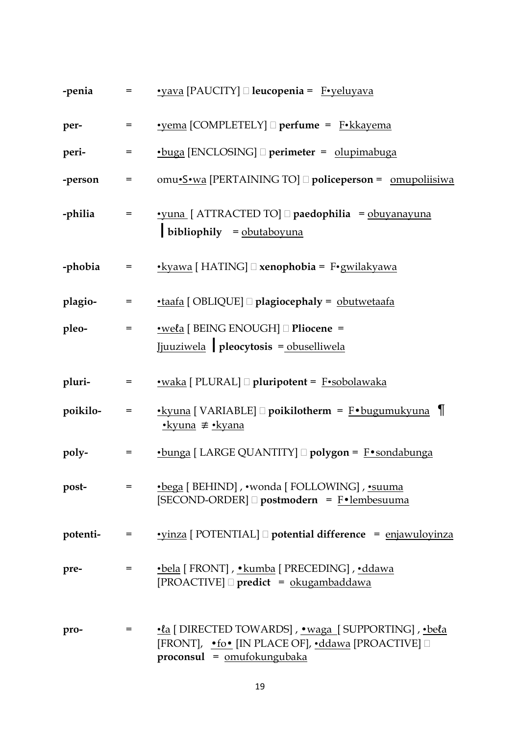| -penia   | $=$          | <u>•yava</u> [PAUCITY] □ <b>leucopenia</b> = F•yeluyava                                                                                              |
|----------|--------------|------------------------------------------------------------------------------------------------------------------------------------------------------|
| per-     | =            | • vema [COMPLETELY] □ perfume = F• kkayema                                                                                                           |
| peri-    | =            | •buga [ENCLOSING] D perimeter = olupimabuga                                                                                                          |
| -person  | Ξ            | omu•S•wa [PERTAINING TO] □ policeperson = omupoliisiwa                                                                                               |
| -philia  | =            | <u>•yuna</u> [ ATTRACTED TO] □ paedophilia = obuyanayuna<br>bibliophily $=$ obutaboyuna                                                              |
| -phobia  | $=$          | <u>•kyawa</u> [ HATING] □ xenophobia = F•gwilakyawa                                                                                                  |
| plagio-  | =            | <u>•taafa</u> [ OBLIQUE] <b>□ plagiocephaly</b> = obutwetaafa                                                                                        |
| pleo-    | =            | <u>•wela</u> [ BEING ENOUGH] □ Pliocene =<br>Jjuuziwela pleocytosis = obuselliwela                                                                   |
| pluri-   | Ξ            | <u>•waka</u> [ PLURAL] □ pluripotent = F•sobolawaka                                                                                                  |
| poikilo- | $=$          | <u>•kyuna</u> [ VARIABLE] □ poikilotherm = F•bugumukyuna ¶<br><u>•kyuna</u> ≢ <u>•kyana</u>                                                          |
| poly-    | Ξ            | •bunga [ LARGE QUANTITY] <sup>[</sup> polygon = F•sondabunga                                                                                         |
| post-    | $=$ $\sim$   | •bega [BEHIND], •wonda [FOLLOWING], •suuma<br>[SECOND-ORDER] □ postmodern = F•lembesuuma                                                             |
| potenti- | $=$          | $\cdot$ vinza [ POTENTIAL] $\Box$ potential difference = enjawuloyinza                                                                               |
| pre-     | $=$ $\sim$   | •bela [FRONT], •kumba [PRECEDING], •ddawa<br>$[PROACTIVE] \square$ predict = okugambaddawa                                                           |
| pro-     | $=$ $\qquad$ | <u>•la</u> [DIRECTED TOWARDS], <u>• waga</u> [SUPPORTING], • bela<br>[FRONT], •fo• [IN PLACE OF], •ddawa [PROACTIVE] □<br>proconsul = omufokungubaka |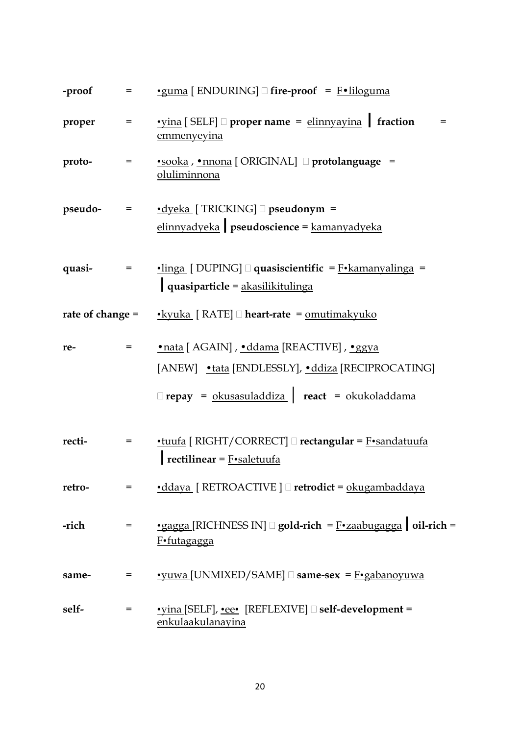| -proof             | $=$        | $\cdot$ guma [ ENDURING] $\Box$ fire-proof = F $\cdot$ liloguma                                                                                     |
|--------------------|------------|-----------------------------------------------------------------------------------------------------------------------------------------------------|
| proper             | $=$        | $\cdot$ vina [SELF] $\Box$ proper name = $\frac{\text{elimnyayina}}{\text{frac}}$ fraction<br>emmenyeyina                                           |
| proto-             | $=$        | • sooka, • nnona [ORIGINAL] protolanguage =<br>oluliminnona                                                                                         |
| $pseudo-$ =        |            | $\cdot$ dyeka [ TRICKING] $\Box$ pseudonym =<br>elinnyadyeka   pseudoscience = kamanyadyeka                                                         |
| quasi-             | $=$ $\sim$ | $\cdot$ linga [DUPING] $\Box$ quasiscientific = F $\cdot$ kamanyalinga =<br>quasiparticle = akasilikitulinga                                        |
| rate of change $=$ |            | $\cdot$ kyuka [ RATE] $\Box$ heart-rate = <u>omutimakyuko</u>                                                                                       |
| re-                | =          | •nata [ AGAIN] , •ddama [REACTIVE] , •ggya<br>[ANEW] • tata [ENDLESSLY], • ddiza [RECIPROCATING]<br>□ repay = okusasuladdiza   react = okukoladdama |
| recti-             | $=$        | $\cdot$ tuufa [ RIGHT/CORRECT] $\Box$ rectangular = F $\cdot$ sandatuufa<br>rectilinear = $F \cdot$ saletuufa                                       |
| retro-             | $=$        | $\cdot$ ddaya [ RETROACTIVE ] $\Box$ retrodict = okugambaddaya                                                                                      |
| -rich              | =          | $\cdot$ gagga [RICHNESS IN] $\Box$ gold-rich = F $\cdot$ zaabugagga   oil-rich =<br>F•futagagga                                                     |
| same-              | =          | $\cdot$ yuwa [UNMIXED/SAME] $\Box$ same-sex = $\underline{F} \cdot \underline{g}$ abanoyuwa                                                         |
| self-              | =          | <u>•yina</u> [SELF], <u>•ee•</u> [REFLEXIVE] <b>aself-development</b> =<br>enkulaakulanayina                                                        |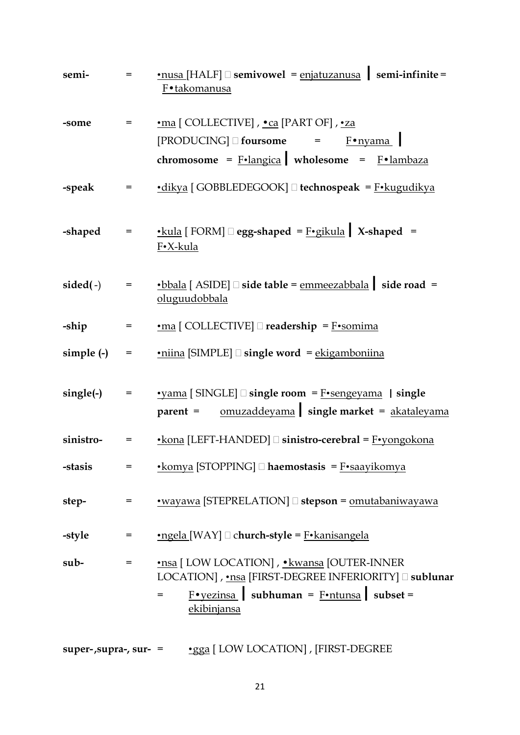| semi-                    | $=$                     | $\underline{\bullet}$ nusa [HALF] $\Box$ semivowel = <u>enjatuzanusa</u> semi-infinite =<br>F•takomanusa                                                                                               |
|--------------------------|-------------------------|--------------------------------------------------------------------------------------------------------------------------------------------------------------------------------------------------------|
| -some                    | $=$                     | •ma [COLLECTIVE], •ca [PART OF], •za<br>$[PRODUCING] \square$ foursome = $\frac{F \cdot n \vee \dots}{F \cdot n \vee m}$<br>chromosome = $F \cdot \text{language}$ wholesome = $F \cdot \text{lambda}$ |
| -speak                   | $=$ $\sim$              | $\cdot$ dikya [GOBBLEDEGOOK] $\Box$ technospeak = F $\cdot$ kugudikya                                                                                                                                  |
| -shaped                  | $\qquad \qquad =\qquad$ | <u>• kula</u> [ FORM] $\Box$ egg-shaped = F•gikula   X-shaped =<br>F•X-kula                                                                                                                            |
| $sided(-)$               | $=$                     | $\bullet$ bbala [ASIDE] $\Box$ side table = <u>emmeezabbala</u>   side road =<br>oluguudobbala                                                                                                         |
| -ship                    | $\equiv$                | $\underline{\cdot ma}$ [ COLLECTIVE] $\square$ readership = F $\underline{\cdot somima}$                                                                                                               |
| simple (-)               | $=$                     | $\cdot$ niina [SIMPLE] $\Box$ single word = ekigamboniina                                                                                                                                              |
| $single(-)$              | $=$                     | $\cdot$ yama [SINGLE] $\Box$ single room = $F\cdot$ sengeyama   single<br>parent = <u>omuzaddeyama</u> single market = <b>akataleyama</b>                                                              |
| sinistro-                | =                       | $\cdot$ kona [LEFT-HANDED] $\Box$ sinistro-cerebral = $F\cdot$ yongokona                                                                                                                               |
| -stasis                  | =                       | $\cdot$ komya [STOPPING] $\Box$ haemostasis = F $\cdot$ saayikomya                                                                                                                                     |
| step-                    | =                       | <u>•wayawa</u> [STEPRELATION] □ stepson = <u>omutabaniwayawa</u>                                                                                                                                       |
| -style                   | =                       | $\text{Ingela}$ [WAY] $\Box$ church-style = $\text{F-kanisangela}$                                                                                                                                     |
| sub-                     | =                       | •nsa [ LOW LOCATION], • kwansa [OUTER-INNER<br>LOCATION], •nsa [FIRST-DEGREE INFERIORITY] □ sublunar<br>$F \cdot \text{yezinsa}$ subhuman = $F \cdot \text{ntunsa}$ subset =<br>=<br>ekibinjansa       |
| super-, supra-, sur- $=$ |                         | •gga [ LOW LOCATION], [FIRST-DEGREE                                                                                                                                                                    |

21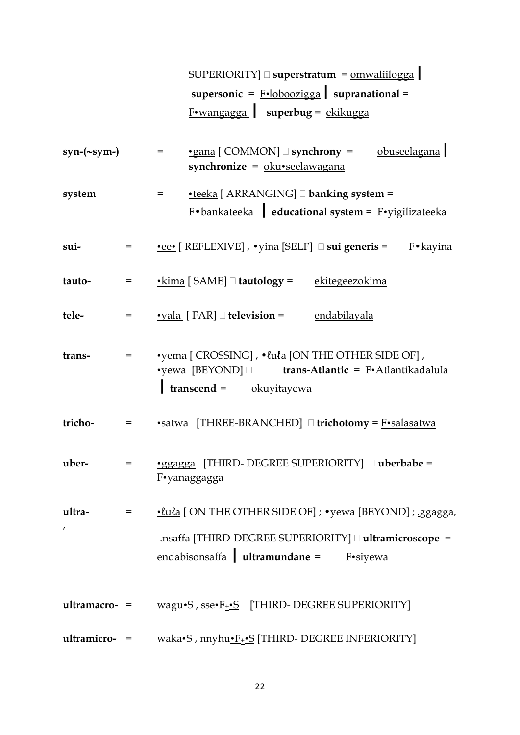|                   |            | $SUPERIORITY$ $\Box$ superstratum = $omwaliilogga$                                                                                                                 |
|-------------------|------------|--------------------------------------------------------------------------------------------------------------------------------------------------------------------|
|                   |            | supersonic = $F \cdot \text{loboozigga}$ supranational =                                                                                                           |
|                   |            | F•wangagga   superbug = ekikugga                                                                                                                                   |
| $syn-(\sim sym-)$ |            | •gana [COMMON] Synchrony = obuseelagana<br>$=$<br>synchronize = $oku$ •seelawagana                                                                                 |
| system            |            | $\bullet$ teeka [ ARRANGING] $\Box$ banking system =<br>$=$<br>$F \cdot$ bankateeka educational system = $F \cdot$ vigilizateeka                                   |
| sui-              | $=$        | <u>•ee•</u> [ REFLEXIVE] , <u>• yina</u> [SELF] $\Box$ sui generis =<br>F•kayina                                                                                   |
| tauto-            | $=$        | • kima [SAME] □ tautology = ekitegeezokima                                                                                                                         |
| tele-             | $=$        | $\textcolor{red}{\bullet}$ yala [FAR] $\Box$ television = endabilayala                                                                                             |
| trans-            | $=$        | • vema [ CROSSING], • lula [ON THE OTHER SIDE OF],<br><u>•yewa</u> [BEYOND] <b>□</b> trans-Atlantic = F•Atlantikadalula<br>$transcend = okuyitayewa$               |
| tricho-           | =          | •satwa [THREE-BRANCHED] I trichotomy = F•salasatwa                                                                                                                 |
| uber-             |            | •ggagga [THIRD- DEGREE SUPERIORITY] [ uberbabe =<br>F•yanaggagga                                                                                                   |
| ultra-<br>,       | $=$ $\sim$ | •lula [ON THE OTHER SIDE OF] ; • yewa [BEYOND] ; .ggagga,<br>.nsaffa [THIRD-DEGREE SUPERIORITY] [ ultramicroscope =<br>$endabisonsaffa$ ultramundane =<br>F•siyewa |
| $ultramaccro-$ =  |            | wagu•S, sse•F <sub>+</sub> •S [THIRD- DEGREE SUPERIORITY]                                                                                                          |
| ultramicro- =     |            | waka•S, nnyhu•F <sub>+</sub> •S [THIRD- DEGREE INFERIORITY]                                                                                                        |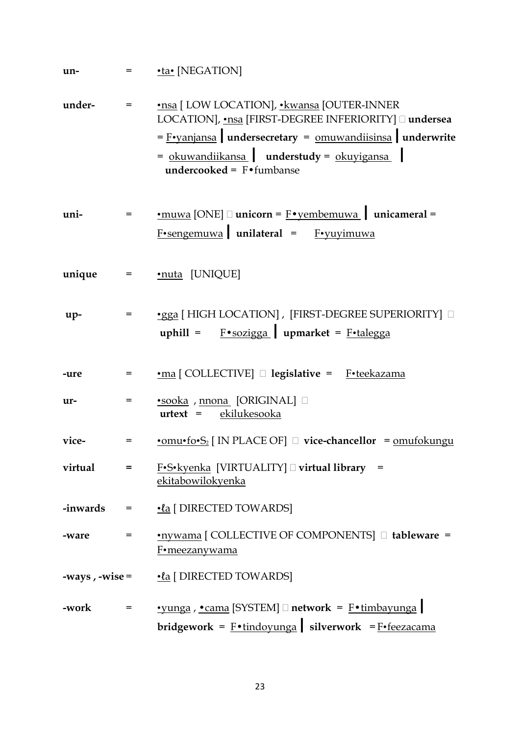| un-              |     | $=$ $\cdot$ ta $\cdot$ [NEGATION]                                                                                                                                                                                                                               |
|------------------|-----|-----------------------------------------------------------------------------------------------------------------------------------------------------------------------------------------------------------------------------------------------------------------|
| under-           | $=$ | •nsa [ LOW LOCATION], •kwansa [OUTER-INNER<br>LOCATION], •nsa [FIRST-DEGREE INFERIORITY] □ undersea<br>$=$ F•yanjansa undersecretary = $omuv$ and isinsa underwrite<br>= okuwandiikansa   understudy = okuyigansa  <br><b>undercooked</b> = $F \cdot f$ umbanse |
| uni-             | $=$ | $\underline{\bullet}$ muwa [ONE] $\Box$ unicorn = F $\underline{\bullet}$ yembemuwa   unicameral =<br>$F \cdot$ sengemuwa unilateral = F $\cdot$ yuyimuwa                                                                                                       |
| unique           |     | $=$ $\underline{\cdot \text{nuta}}$ [UNIQUE]                                                                                                                                                                                                                    |
| $up-$            | $=$ | •gga [ HIGH LOCATION], [FIRST-DEGREE SUPERIORITY] $\Box$<br>uphill = $F \cdot \frac{\text{Soziga}}{\text{Soziga}}$ upmarket = $F \cdot \frac{\text{Lalgga}}{\text{Sagga}}$                                                                                      |
| -ure             | =   | •ma [COLLECTIVE] D legislative = F•teekazama                                                                                                                                                                                                                    |
| ur-              | $=$ | •sooka, mona [ORIGINAL]<br>urtext = ekilukesooka                                                                                                                                                                                                                |
| vice-            | =   | $\underline{\text{omu}\cdot\text{fo}\cdot\text{S}_2}$ [ IN PLACE OF] $\Box$ vice-chancellor = <u>omufokungu</u>                                                                                                                                                 |
| virtual          | =   | $F-S\cdot k$ yenka [VIRTUALITY] $\Box$ virtual library =<br>ekitabowilokyenka                                                                                                                                                                                   |
|                  |     | $\cdot$ inwards = $\cdot$ <u>la</u> [DIRECTED TOWARDS]                                                                                                                                                                                                          |
| -ware            | $=$ | •nywama [ COLLECTIVE OF COMPONENTS] □ tableware =<br>F•meezanywama                                                                                                                                                                                              |
| -ways, $-wise =$ |     | <u>•la</u> [ DIRECTED TOWARDS]                                                                                                                                                                                                                                  |
| -work            | $=$ | $\cdot$ vunga, $\cdot$ cama [SYSTEM] $\Box$ network = F $\cdot$ timbayunga<br>bridgework = $F \cdot \text{tindoyunga}$ silverwork = $F \cdot \text{feezacama}$                                                                                                  |